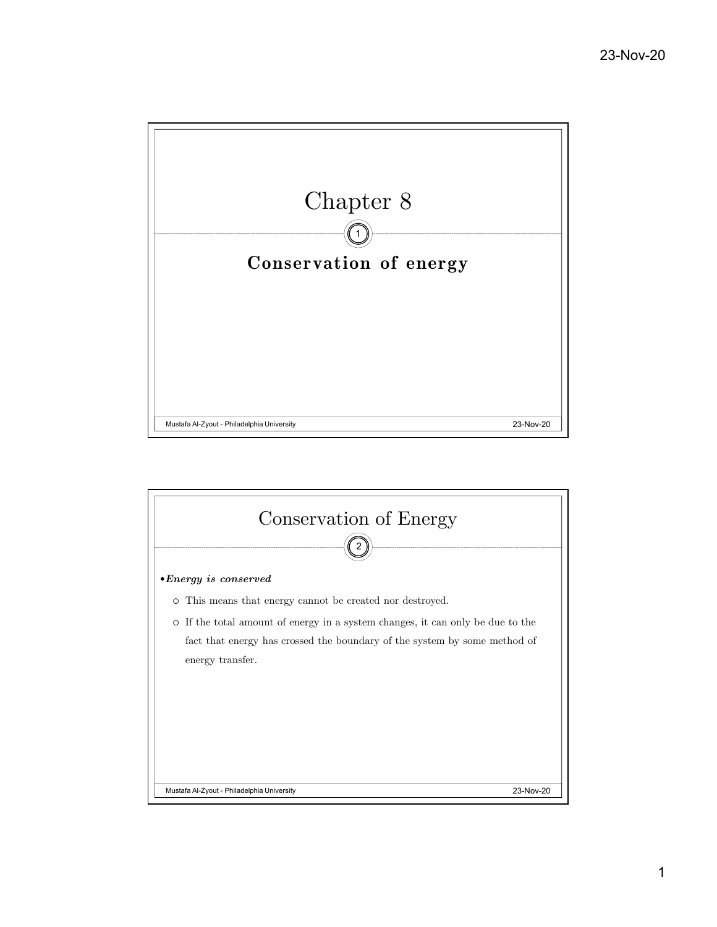

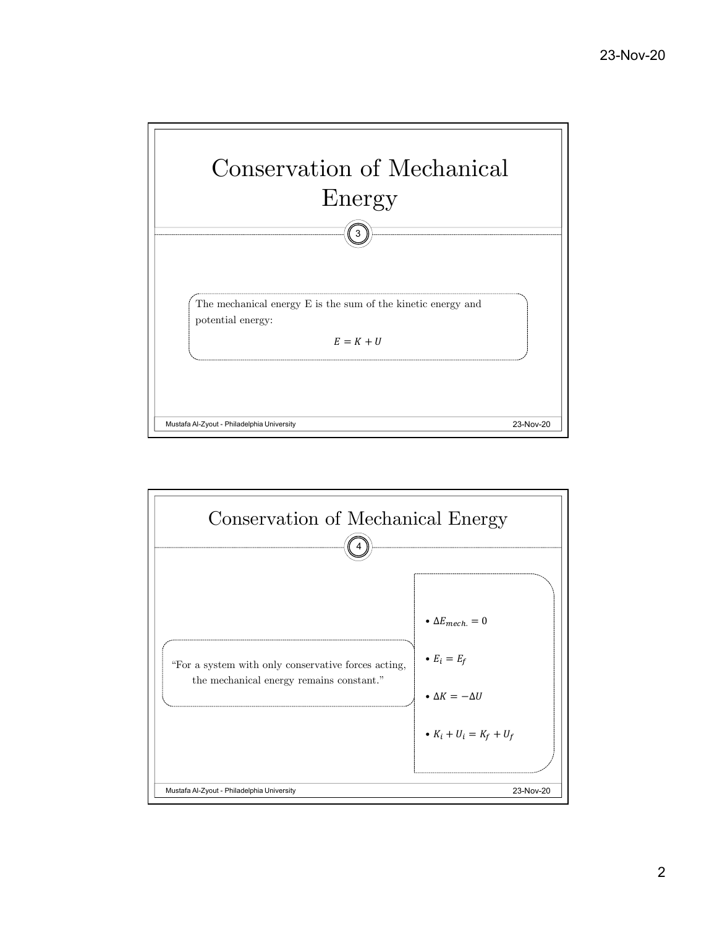